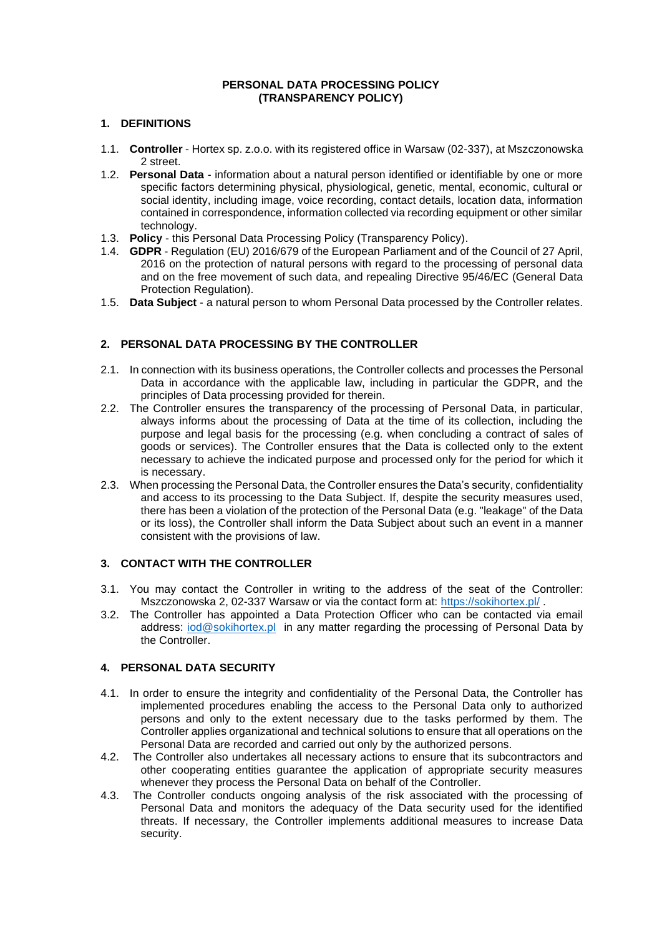#### **PERSONAL DATA PROCESSING POLICY (TRANSPARENCY POLICY)**

## **1. DEFINITIONS**

- 1.1. **Controller** Hortex sp. z.o.o. with its registered office in Warsaw (02-337), at Mszczonowska 2 street.
- 1.2. **Personal Data** information about a natural person identified or identifiable by one or more specific factors determining physical, physiological, genetic, mental, economic, cultural or social identity, including image, voice recording, contact details, location data, information contained in correspondence, information collected via recording equipment or other similar technology.
- 1.3. **Policy** this Personal Data Processing Policy (Transparency Policy).
- 1.4. **GDPR** Regulation (EU) 2016/679 of the European Parliament and of the Council of 27 April, 2016 on the protection of natural persons with regard to the processing of personal data and on the free movement of such data, and repealing Directive 95/46/EC (General Data Protection Regulation).
- 1.5. **Data Subject** a natural person to whom Personal Data processed by the Controller relates.

# **2. PERSONAL DATA PROCESSING BY THE CONTROLLER**

- 2.1. In connection with its business operations, the Controller collects and processes the Personal Data in accordance with the applicable law, including in particular the GDPR, and the principles of Data processing provided for therein.
- 2.2. The Controller ensures the transparency of the processing of Personal Data, in particular, always informs about the processing of Data at the time of its collection, including the purpose and legal basis for the processing (e.g. when concluding a contract of sales of goods or services). The Controller ensures that the Data is collected only to the extent necessary to achieve the indicated purpose and processed only for the period for which it is necessary.
- 2.3. When processing the Personal Data, the Controller ensures the Data's security, confidentiality and access to its processing to the Data Subject. If, despite the security measures used, there has been a violation of the protection of the Personal Data (e.g. "leakage" of the Data or its loss), the Controller shall inform the Data Subject about such an event in a manner consistent with the provisions of law.

# **3. CONTACT WITH THE CONTROLLER**

- 3.1. You may contact the Controller in writing to the address of the seat of the Controller: Mszczonowska 2, 02-337 Warsaw or via the contact form at: <https://sokihortex.pl/> .
- 3.2. The Controller has appointed a Data Protection Officer who can be contacted via email address: [iod@sokihortex.pl](mailto:iod@sokihortex.pl) in any matter regarding the processing of Personal Data by the Controller.

# **4. PERSONAL DATA SECURITY**

- 4.1. In order to ensure the integrity and confidentiality of the Personal Data, the Controller has implemented procedures enabling the access to the Personal Data only to authorized persons and only to the extent necessary due to the tasks performed by them. The Controller applies organizational and technical solutions to ensure that all operations on the Personal Data are recorded and carried out only by the authorized persons.
- 4.2. The Controller also undertakes all necessary actions to ensure that its subcontractors and other cooperating entities guarantee the application of appropriate security measures whenever they process the Personal Data on behalf of the Controller.
- 4.3. The Controller conducts ongoing analysis of the risk associated with the processing of Personal Data and monitors the adequacy of the Data security used for the identified threats. If necessary, the Controller implements additional measures to increase Data security.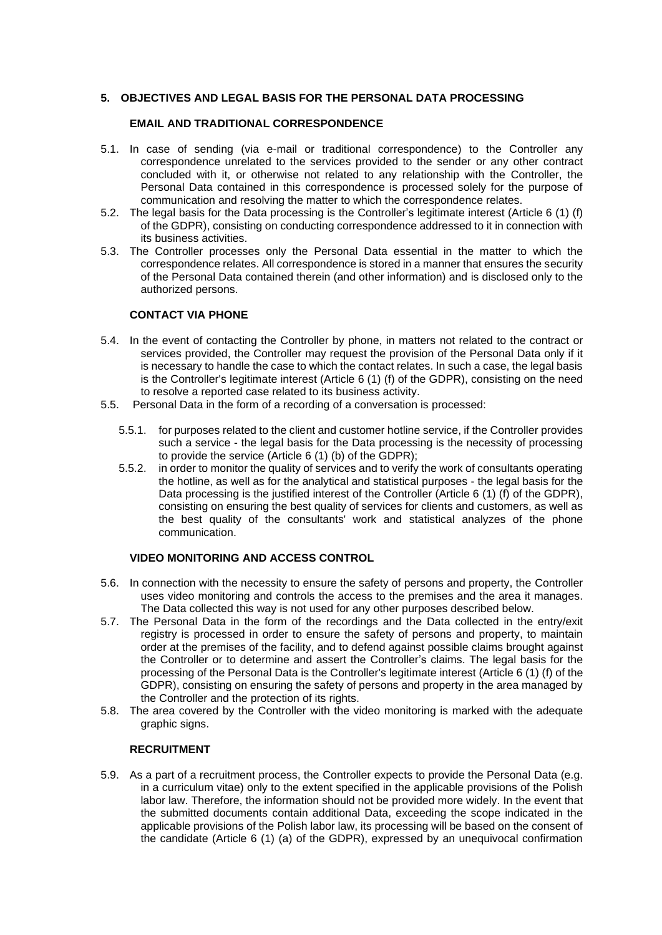#### **5. OBJECTIVES AND LEGAL BASIS FOR THE PERSONAL DATA PROCESSING**

## **EMAIL AND TRADITIONAL CORRESPONDENCE**

- 5.1. In case of sending (via e-mail or traditional correspondence) to the Controller any correspondence unrelated to the services provided to the sender or any other contract concluded with it, or otherwise not related to any relationship with the Controller, the Personal Data contained in this correspondence is processed solely for the purpose of communication and resolving the matter to which the correspondence relates.
- 5.2. The legal basis for the Data processing is the Controller's legitimate interest (Article 6 (1) (f) of the GDPR), consisting on conducting correspondence addressed to it in connection with its business activities.
- 5.3. The Controller processes only the Personal Data essential in the matter to which the correspondence relates. All correspondence is stored in a manner that ensures the security of the Personal Data contained therein (and other information) and is disclosed only to the authorized persons.

#### **CONTACT VIA PHONE**

- 5.4. In the event of contacting the Controller by phone, in matters not related to the contract or services provided, the Controller may request the provision of the Personal Data only if it is necessary to handle the case to which the contact relates. In such a case, the legal basis is the Controller's legitimate interest (Article 6 (1) (f) of the GDPR), consisting on the need to resolve a reported case related to its business activity.
- 5.5. Personal Data in the form of a recording of a conversation is processed:
	- 5.5.1. for purposes related to the client and customer hotline service, if the Controller provides such a service - the legal basis for the Data processing is the necessity of processing to provide the service (Article 6 (1) (b) of the GDPR);
	- 5.5.2. in order to monitor the quality of services and to verify the work of consultants operating the hotline, as well as for the analytical and statistical purposes - the legal basis for the Data processing is the justified interest of the Controller (Article 6 (1) (f) of the GDPR), consisting on ensuring the best quality of services for clients and customers, as well as the best quality of the consultants' work and statistical analyzes of the phone communication.

## **VIDEO MONITORING AND ACCESS CONTROL**

- 5.6. In connection with the necessity to ensure the safety of persons and property, the Controller uses video monitoring and controls the access to the premises and the area it manages. The Data collected this way is not used for any other purposes described below.
- 5.7. The Personal Data in the form of the recordings and the Data collected in the entry/exit registry is processed in order to ensure the safety of persons and property, to maintain order at the premises of the facility, and to defend against possible claims brought against the Controller or to determine and assert the Controller's claims. The legal basis for the processing of the Personal Data is the Controller's legitimate interest (Article 6 (1) (f) of the GDPR), consisting on ensuring the safety of persons and property in the area managed by the Controller and the protection of its rights.
- 5.8. The area covered by the Controller with the video monitoring is marked with the adequate graphic signs.

#### **RECRUITMENT**

5.9. As a part of a recruitment process, the Controller expects to provide the Personal Data (e.g. in a curriculum vitae) only to the extent specified in the applicable provisions of the Polish labor law. Therefore, the information should not be provided more widely. In the event that the submitted documents contain additional Data, exceeding the scope indicated in the applicable provisions of the Polish labor law, its processing will be based on the consent of the candidate (Article 6 (1) (a) of the GDPR), expressed by an unequivocal confirmation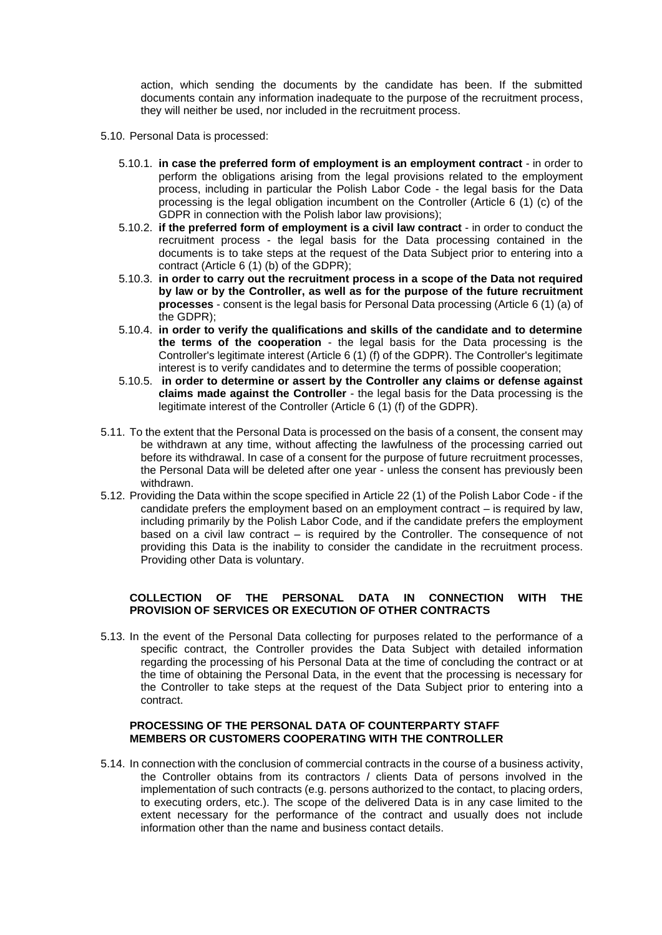action, which sending the documents by the candidate has been. If the submitted documents contain any information inadequate to the purpose of the recruitment process, they will neither be used, nor included in the recruitment process.

- 5.10. Personal Data is processed:
	- 5.10.1. **in case the preferred form of employment is an employment contract** in order to perform the obligations arising from the legal provisions related to the employment process, including in particular the Polish Labor Code - the legal basis for the Data processing is the legal obligation incumbent on the Controller (Article 6 (1) (c) of the GDPR in connection with the Polish labor law provisions);
	- 5.10.2. **if the preferred form of employment is a civil law contract** in order to conduct the recruitment process - the legal basis for the Data processing contained in the documents is to take steps at the request of the Data Subject prior to entering into a contract (Article 6 (1) (b) of the GDPR);
	- 5.10.3. **in order to carry out the recruitment process in a scope of the Data not required by law or by the Controller, as well as for the purpose of the future recruitment processes** - consent is the legal basis for Personal Data processing (Article 6 (1) (a) of the GDPR);
	- 5.10.4. **in order to verify the qualifications and skills of the candidate and to determine the terms of the cooperation** - the legal basis for the Data processing is the Controller's legitimate interest (Article 6 (1) (f) of the GDPR). The Controller's legitimate interest is to verify candidates and to determine the terms of possible cooperation;
	- 5.10.5. **in order to determine or assert by the Controller any claims or defense against claims made against the Controller** - the legal basis for the Data processing is the legitimate interest of the Controller (Article 6 (1) (f) of the GDPR).
- 5.11. To the extent that the Personal Data is processed on the basis of a consent, the consent may be withdrawn at any time, without affecting the lawfulness of the processing carried out before its withdrawal. In case of a consent for the purpose of future recruitment processes, the Personal Data will be deleted after one year - unless the consent has previously been withdrawn.
- 5.12. Providing the Data within the scope specified in Article 22 (1) of the Polish Labor Code if the candidate prefers the employment based on an employment contract – is required by law, including primarily by the Polish Labor Code, and if the candidate prefers the employment based on a civil law contract – is required by the Controller. The consequence of not providing this Data is the inability to consider the candidate in the recruitment process. Providing other Data is voluntary.

#### **COLLECTION OF THE PERSONAL DATA IN CONNECTION WITH THE PROVISION OF SERVICES OR EXECUTION OF OTHER CONTRACTS**

5.13. In the event of the Personal Data collecting for purposes related to the performance of a specific contract, the Controller provides the Data Subject with detailed information regarding the processing of his Personal Data at the time of concluding the contract or at the time of obtaining the Personal Data, in the event that the processing is necessary for the Controller to take steps at the request of the Data Subject prior to entering into a contract.

#### **PROCESSING OF THE PERSONAL DATA OF COUNTERPARTY STAFF MEMBERS OR CUSTOMERS COOPERATING WITH THE CONTROLLER**

5.14. In connection with the conclusion of commercial contracts in the course of a business activity, the Controller obtains from its contractors / clients Data of persons involved in the implementation of such contracts (e.g. persons authorized to the contact, to placing orders, to executing orders, etc.). The scope of the delivered Data is in any case limited to the extent necessary for the performance of the contract and usually does not include information other than the name and business contact details.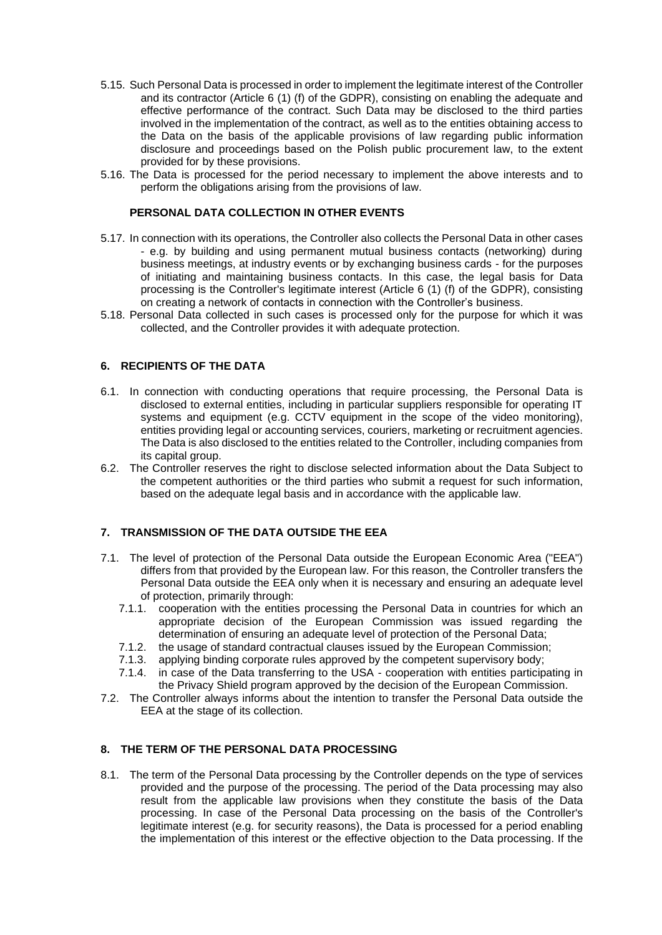- 5.15. Such Personal Data is processed in order to implement the legitimate interest of the Controller and its contractor (Article 6 (1) (f) of the GDPR), consisting on enabling the adequate and effective performance of the contract. Such Data may be disclosed to the third parties involved in the implementation of the contract, as well as to the entities obtaining access to the Data on the basis of the applicable provisions of law regarding public information disclosure and proceedings based on the Polish public procurement law, to the extent provided for by these provisions.
- 5.16. The Data is processed for the period necessary to implement the above interests and to perform the obligations arising from the provisions of law.

#### **PERSONAL DATA COLLECTION IN OTHER EVENTS**

- 5.17. In connection with its operations, the Controller also collects the Personal Data in other cases - e.g. by building and using permanent mutual business contacts (networking) during business meetings, at industry events or by exchanging business cards - for the purposes of initiating and maintaining business contacts. In this case, the legal basis for Data processing is the Controller's legitimate interest (Article 6 (1) (f) of the GDPR), consisting on creating a network of contacts in connection with the Controller's business.
- 5.18. Personal Data collected in such cases is processed only for the purpose for which it was collected, and the Controller provides it with adequate protection.

#### **6. RECIPIENTS OF THE DATA**

- 6.1. In connection with conducting operations that require processing, the Personal Data is disclosed to external entities, including in particular suppliers responsible for operating IT systems and equipment (e.g. CCTV equipment in the scope of the video monitoring), entities providing legal or accounting services, couriers, marketing or recruitment agencies. The Data is also disclosed to the entities related to the Controller, including companies from its capital group.
- 6.2. The Controller reserves the right to disclose selected information about the Data Subject to the competent authorities or the third parties who submit a request for such information, based on the adequate legal basis and in accordance with the applicable law.

## **7. TRANSMISSION OF THE DATA OUTSIDE THE EEA**

- 7.1. The level of protection of the Personal Data outside the European Economic Area ("EEA") differs from that provided by the European law. For this reason, the Controller transfers the Personal Data outside the EEA only when it is necessary and ensuring an adequate level of protection, primarily through:
	- 7.1.1. cooperation with the entities processing the Personal Data in countries for which an appropriate decision of the European Commission was issued regarding the determination of ensuring an adequate level of protection of the Personal Data;
	- 7.1.2. the usage of standard contractual clauses issued by the European Commission;
	- 7.1.3. applying binding corporate rules approved by the competent supervisory body;
	- 7.1.4. in case of the Data transferring to the USA cooperation with entities participating in the Privacy Shield program approved by the decision of the European Commission.
- 7.2. The Controller always informs about the intention to transfer the Personal Data outside the EEA at the stage of its collection.

#### **8. THE TERM OF THE PERSONAL DATA PROCESSING**

8.1. The term of the Personal Data processing by the Controller depends on the type of services provided and the purpose of the processing. The period of the Data processing may also result from the applicable law provisions when they constitute the basis of the Data processing. In case of the Personal Data processing on the basis of the Controller's legitimate interest (e.g. for security reasons), the Data is processed for a period enabling the implementation of this interest or the effective objection to the Data processing. If the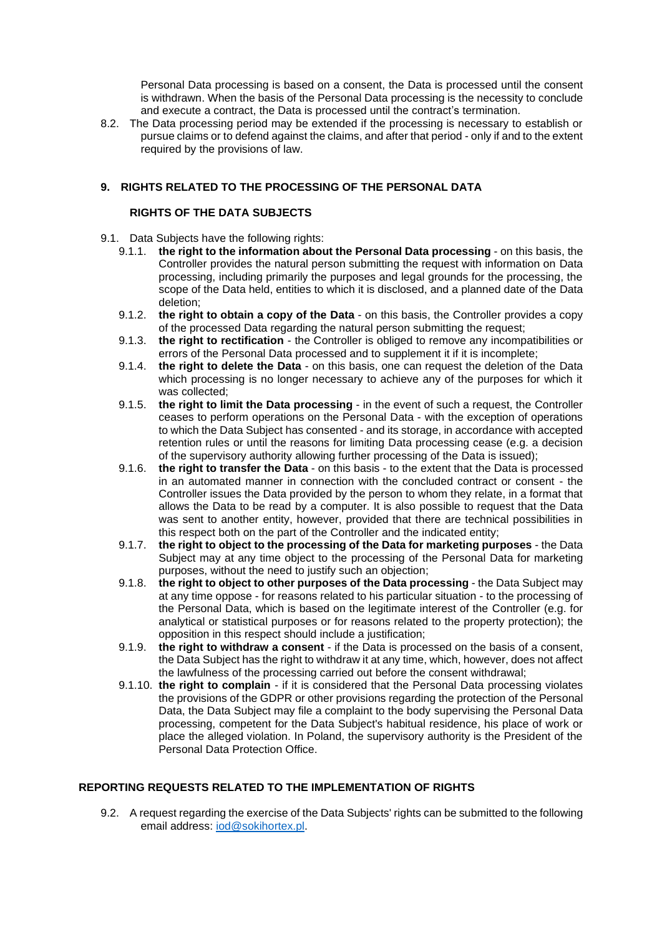Personal Data processing is based on a consent, the Data is processed until the consent is withdrawn. When the basis of the Personal Data processing is the necessity to conclude and execute a contract, the Data is processed until the contract's termination.

8.2. The Data processing period may be extended if the processing is necessary to establish or pursue claims or to defend against the claims, and after that period - only if and to the extent required by the provisions of law.

## **9. RIGHTS RELATED TO THE PROCESSING OF THE PERSONAL DATA**

#### **RIGHTS OF THE DATA SUBJECTS**

- 9.1. Data Subjects have the following rights:
	- 9.1.1. **the right to the information about the Personal Data processing** on this basis, the Controller provides the natural person submitting the request with information on Data processing, including primarily the purposes and legal grounds for the processing, the scope of the Data held, entities to which it is disclosed, and a planned date of the Data deletion;
	- 9.1.2. **the right to obtain a copy of the Data** on this basis, the Controller provides a copy of the processed Data regarding the natural person submitting the request;
	- 9.1.3. **the right to rectification** the Controller is obliged to remove any incompatibilities or errors of the Personal Data processed and to supplement it if it is incomplete;
	- 9.1.4. **the right to delete the Data** on this basis, one can request the deletion of the Data which processing is no longer necessary to achieve any of the purposes for which it was collected;
	- 9.1.5. **the right to limit the Data processing** in the event of such a request, the Controller ceases to perform operations on the Personal Data - with the exception of operations to which the Data Subject has consented - and its storage, in accordance with accepted retention rules or until the reasons for limiting Data processing cease (e.g. a decision of the supervisory authority allowing further processing of the Data is issued);
	- 9.1.6. **the right to transfer the Data** on this basis to the extent that the Data is processed in an automated manner in connection with the concluded contract or consent - the Controller issues the Data provided by the person to whom they relate, in a format that allows the Data to be read by a computer. It is also possible to request that the Data was sent to another entity, however, provided that there are technical possibilities in this respect both on the part of the Controller and the indicated entity;
	- 9.1.7. **the right to object to the processing of the Data for marketing purposes** the Data Subject may at any time object to the processing of the Personal Data for marketing purposes, without the need to justify such an objection;
	- 9.1.8. **the right to object to other purposes of the Data processing** the Data Subject may at any time oppose - for reasons related to his particular situation - to the processing of the Personal Data, which is based on the legitimate interest of the Controller (e.g. for analytical or statistical purposes or for reasons related to the property protection); the opposition in this respect should include a justification;
	- 9.1.9. **the right to withdraw a consent** if the Data is processed on the basis of a consent, the Data Subject has the right to withdraw it at any time, which, however, does not affect the lawfulness of the processing carried out before the consent withdrawal;
	- 9.1.10. **the right to complain** if it is considered that the Personal Data processing violates the provisions of the GDPR or other provisions regarding the protection of the Personal Data, the Data Subject may file a complaint to the body supervising the Personal Data processing, competent for the Data Subject's habitual residence, his place of work or place the alleged violation. In Poland, the supervisory authority is the President of the Personal Data Protection Office.

## **REPORTING REQUESTS RELATED TO THE IMPLEMENTATION OF RIGHTS**

9.2. A request regarding the exercise of the Data Subjects' rights can be submitted to the following email address: [iod@sokihortex.pl.](mailto:iod@sokihortex.pl)